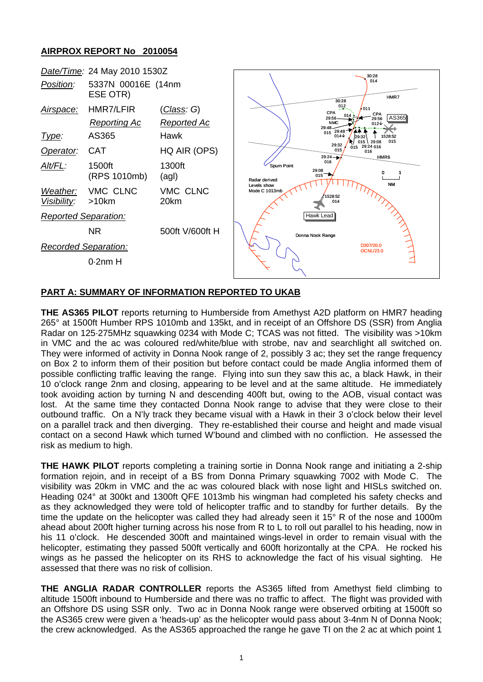## **AIRPROX REPORT No 2010054**



## **PART A: SUMMARY OF INFORMATION REPORTED TO UKAB**

**THE AS365 PILOT** reports returning to Humberside from Amethyst A2D platform on HMR7 heading 265° at 1500ft Humber RPS 1010mb and 135kt, and in receipt of an Offshore DS (SSR) from Anglia Radar on 125·275MHz squawking 0234 with Mode C; TCAS was not fitted. The visibility was >10km in VMC and the ac was coloured red/white/blue with strobe, nav and searchlight all switched on. They were informed of activity in Donna Nook range of 2, possibly 3 ac; they set the range frequency on Box 2 to inform them of their position but before contact could be made Anglia informed them of possible conflicting traffic leaving the range. Flying into sun they saw this ac, a black Hawk, in their 10 o'clock range 2nm and closing, appearing to be level and at the same altitude. He immediately took avoiding action by turning N and descending 400ft but, owing to the AOB, visual contact was lost. At the same time they contacted Donna Nook range to advise that they were close to their outbound traffic. On a N'ly track they became visual with a Hawk in their 3 o'clock below their level on a parallel track and then diverging. They re-established their course and height and made visual contact on a second Hawk which turned W'bound and climbed with no confliction. He assessed the risk as medium to high.

**THE HAWK PILOT** reports completing a training sortie in Donna Nook range and initiating a 2-ship formation rejoin, and in receipt of a BS from Donna Primary squawking 7002 with Mode C. The visibility was 20km in VMC and the ac was coloured black with nose light and HISLs switched on. Heading 024° at 300kt and 1300ft QFE 1013mb his wingman had completed his safety checks and as they acknowledged they were told of helicopter traffic and to standby for further details. By the time the update on the helicopter was called they had already seen it 15° R of the nose and 1000m ahead about 200ft higher turning across his nose from R to L to roll out parallel to his heading, now in his 11 o'clock. He descended 300ft and maintained wings-level in order to remain visual with the helicopter, estimating they passed 500ft vertically and 600ft horizontally at the CPA. He rocked his wings as he passed the helicopter on its RHS to acknowledge the fact of his visual sighting. He assessed that there was no risk of collision.

**THE ANGLIA RADAR CONTROLLER** reports the AS365 lifted from Amethyst field climbing to altitude 1500ft inbound to Humberside and there was no traffic to affect. The flight was provided with an Offshore DS using SSR only. Two ac in Donna Nook range were observed orbiting at 1500ft so the AS365 crew were given a 'heads-up' as the helicopter would pass about 3-4nm N of Donna Nook; the crew acknowledged. As the AS365 approached the range he gave TI on the 2 ac at which point 1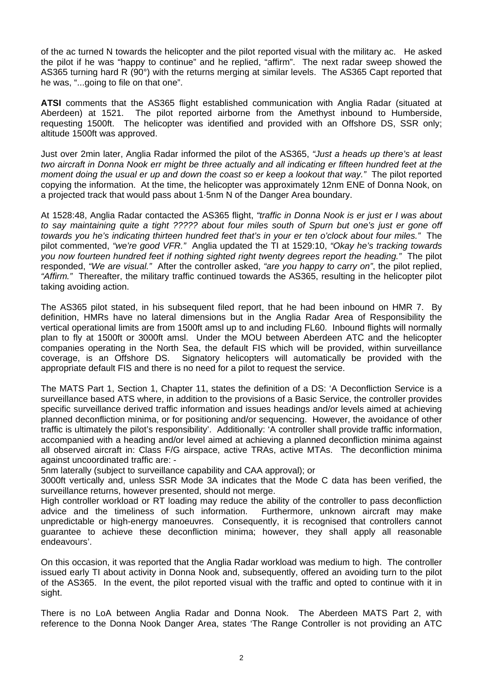of the ac turned N towards the helicopter and the pilot reported visual with the military ac. He asked the pilot if he was "happy to continue" and he replied, "affirm". The next radar sweep showed the AS365 turning hard R (90°) with the returns merging at similar levels. The AS365 Capt reported that he was, "...going to file on that one".

**ATSI** comments that the AS365 flight established communication with Anglia Radar (situated at Aberdeen) at 1521. The pilot reported airborne from the Amethyst inbound to Humberside, requesting 1500ft. The helicopter was identified and provided with an Offshore DS, SSR only; altitude 1500ft was approved.

Just over 2min later, Anglia Radar informed the pilot of the AS365, *"Just a heads up there's at least two aircraft in Donna Nook err might be three actually and all indicating er fifteen hundred feet at the moment doing the usual er up and down the coast so er keep a lookout that way."* The pilot reported copying the information. At the time, the helicopter was approximately 12nm ENE of Donna Nook, on a projected track that would pass about 1·5nm N of the Danger Area boundary.

At 1528:48, Anglia Radar contacted the AS365 flight, *"traffic in Donna Nook is er just er I was about to say maintaining quite a tight ????? about four miles south of Spurn but one's just er gone off towards you he's indicating thirteen hundred feet that's in your er ten o'clock about four miles."* The pilot commented, *"we're good VFR."* Anglia updated the TI at 1529:10, *"Okay he's tracking towards you now fourteen hundred feet if nothing sighted right twenty degrees report the heading."* The pilot responded, *"We are visual."* After the controller asked, *"are you happy to carry on"*, the pilot replied, *"Affirm."* Thereafter, the military traffic continued towards the AS365, resulting in the helicopter pilot taking avoiding action.

The AS365 pilot stated, in his subsequent filed report, that he had been inbound on HMR 7. By definition, HMRs have no lateral dimensions but in the Anglia Radar Area of Responsibility the vertical operational limits are from 1500ft amsl up to and including FL60. Inbound flights will normally plan to fly at 1500ft or 3000ft amsl. Under the MOU between Aberdeen ATC and the helicopter companies operating in the North Sea, the default FIS which will be provided, within surveillance coverage, is an Offshore DS. Signatory helicopters will automatically be provided with the appropriate default FIS and there is no need for a pilot to request the service.

The MATS Part 1, Section 1, Chapter 11, states the definition of a DS: 'A Deconfliction Service is a surveillance based ATS where, in addition to the provisions of a Basic Service, the controller provides specific surveillance derived traffic information and issues headings and/or levels aimed at achieving planned deconfliction minima, or for positioning and/or sequencing. However, the avoidance of other traffic is ultimately the pilot's responsibility'. Additionally: 'A controller shall provide traffic information, accompanied with a heading and/or level aimed at achieving a planned deconfliction minima against all observed aircraft in: Class F/G airspace, active TRAs, active MTAs. The deconfliction minima against uncoordinated traffic are: -

5nm laterally (subject to surveillance capability and CAA approval); or

3000ft vertically and, unless SSR Mode 3A indicates that the Mode C data has been verified, the surveillance returns, however presented, should not merge.

High controller workload or RT loading may reduce the ability of the controller to pass deconfliction advice and the timeliness of such information. Furthermore, unknown aircraft may make unpredictable or high-energy manoeuvres. Consequently, it is recognised that controllers cannot guarantee to achieve these deconfliction minima; however, they shall apply all reasonable endeavours'.

On this occasion, it was reported that the Anglia Radar workload was medium to high. The controller issued early TI about activity in Donna Nook and, subsequently, offered an avoiding turn to the pilot of the AS365. In the event, the pilot reported visual with the traffic and opted to continue with it in sight.

There is no LoA between Anglia Radar and Donna Nook. The Aberdeen MATS Part 2, with reference to the Donna Nook Danger Area, states 'The Range Controller is not providing an ATC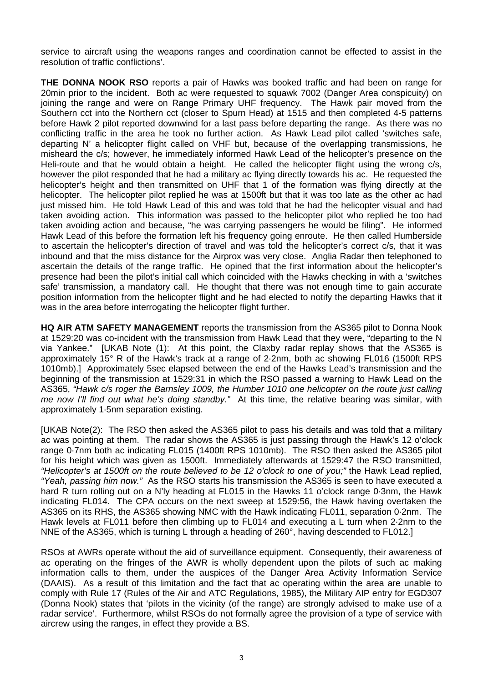service to aircraft using the weapons ranges and coordination cannot be effected to assist in the resolution of traffic conflictions'.

**THE DONNA NOOK RSO** reports a pair of Hawks was booked traffic and had been on range for 20min prior to the incident. Both ac were requested to squawk 7002 (Danger Area conspicuity) on joining the range and were on Range Primary UHF frequency. The Hawk pair moved from the Southern cct into the Northern cct (closer to Spurn Head) at 1515 and then completed 4-5 patterns before Hawk 2 pilot reported downwind for a last pass before departing the range. As there was no conflicting traffic in the area he took no further action. As Hawk Lead pilot called 'switches safe, departing N' a helicopter flight called on VHF but, because of the overlapping transmissions, he misheard the c/s; however, he immediately informed Hawk Lead of the helicopter's presence on the Heli-route and that he would obtain a height. He called the helicopter flight using the wrong c/s, however the pilot responded that he had a military ac flying directly towards his ac. He requested the helicopter's height and then transmitted on UHF that 1 of the formation was flying directly at the helicopter. The helicopter pilot replied he was at 1500ft but that it was too late as the other ac had just missed him. He told Hawk Lead of this and was told that he had the helicopter visual and had taken avoiding action. This information was passed to the helicopter pilot who replied he too had taken avoiding action and because, "he was carrying passengers he would be filing". He informed Hawk Lead of this before the formation left his frequency going enroute. He then called Humberside to ascertain the helicopter's direction of travel and was told the helicopter's correct c/s, that it was inbound and that the miss distance for the Airprox was very close. Anglia Radar then telephoned to ascertain the details of the range traffic. He opined that the first information about the helicopter's presence had been the pilot's initial call which coincided with the Hawks checking in with a 'switches safe' transmission, a mandatory call. He thought that there was not enough time to gain accurate position information from the helicopter flight and he had elected to notify the departing Hawks that it was in the area before interrogating the helicopter flight further.

**HQ AIR ATM SAFETY MANAGEMENT** reports the transmission from the AS365 pilot to Donna Nook at 1529:20 was co-incident with the transmission from Hawk Lead that they were, "departing to the N via Yankee." [UKAB Note (1): At this point, the Claxby radar replay shows that the AS365 is approximately 15° R of the Hawk's track at a range of 2·2nm, both ac showing FL016 (1500ft RPS 1010mb).] Approximately 5sec elapsed between the end of the Hawks Lead's transmission and the beginning of the transmission at 1529:31 in which the RSO passed a warning to Hawk Lead on the AS365, *"Hawk c/s roger the Barnsley 1009, the Humber 1010 one helicopter on the route just calling me now I'll find out what he's doing standby."* At this time, the relative bearing was similar, with approximately 1·5nm separation existing.

[UKAB Note(2): The RSO then asked the AS365 pilot to pass his details and was told that a military ac was pointing at them. The radar shows the AS365 is just passing through the Hawk's 12 o'clock range 0.7nm both ac indicating FL015 (1400ft RPS 1010mb). The RSO then asked the AS365 pilot for his height which was given as 1500ft. Immediately afterwards at 1529:47 the RSO transmitted, *"Helicopter's at 1500ft on the route believed to be 12 o'clock to one of you;"* the Hawk Lead replied, *"Yeah, passing him now."* As the RSO starts his transmission the AS365 is seen to have executed a hard R turn rolling out on a N'ly heading at FL015 in the Hawks 11 o'clock range 0·3nm, the Hawk indicating FL014. The CPA occurs on the next sweep at 1529:56, the Hawk having overtaken the AS365 on its RHS, the AS365 showing NMC with the Hawk indicating FL011, separation 0·2nm. The Hawk levels at FL011 before then climbing up to FL014 and executing a L turn when 2·2nm to the NNE of the AS365, which is turning L through a heading of 260°, having descended to FL012.]

RSOs at AWRs operate without the aid of surveillance equipment. Consequently, their awareness of ac operating on the fringes of the AWR is wholly dependent upon the pilots of such ac making information calls to them, under the auspices of the Danger Area Activity Information Service (DAAIS). As a result of this limitation and the fact that ac operating within the area are unable to comply with Rule 17 (Rules of the Air and ATC Regulations, 1985), the Military AIP entry for EGD307 (Donna Nook) states that 'pilots in the vicinity (of the range) are strongly advised to make use of a radar service'. Furthermore, whilst RSOs do not formally agree the provision of a type of service with aircrew using the ranges, in effect they provide a BS.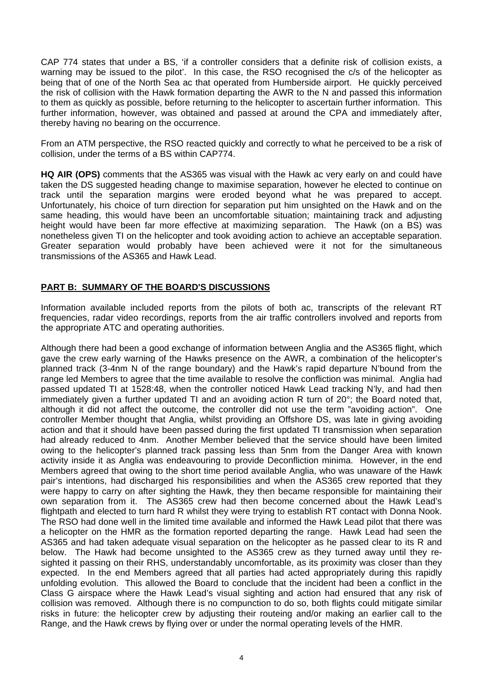CAP 774 states that under a BS, 'if a controller considers that a definite risk of collision exists, a warning may be issued to the pilot'. In this case, the RSO recognised the c/s of the helicopter as being that of one of the North Sea ac that operated from Humberside airport. He quickly perceived the risk of collision with the Hawk formation departing the AWR to the N and passed this information to them as quickly as possible, before returning to the helicopter to ascertain further information. This further information, however, was obtained and passed at around the CPA and immediately after, thereby having no bearing on the occurrence.

From an ATM perspective, the RSO reacted quickly and correctly to what he perceived to be a risk of collision, under the terms of a BS within CAP774.

**HQ AIR (OPS)** comments that the AS365 was visual with the Hawk ac very early on and could have taken the DS suggested heading change to maximise separation, however he elected to continue on track until the separation margins were eroded beyond what he was prepared to accept. Unfortunately, his choice of turn direction for separation put him unsighted on the Hawk and on the same heading, this would have been an uncomfortable situation; maintaining track and adjusting height would have been far more effective at maximizing separation. The Hawk (on a BS) was nonetheless given TI on the helicopter and took avoiding action to achieve an acceptable separation. Greater separation would probably have been achieved were it not for the simultaneous transmissions of the AS365 and Hawk Lead.

## **PART B: SUMMARY OF THE BOARD'S DISCUSSIONS**

Information available included reports from the pilots of both ac, transcripts of the relevant RT frequencies, radar video recordings, reports from the air traffic controllers involved and reports from the appropriate ATC and operating authorities.

Although there had been a good exchange of information between Anglia and the AS365 flight, which gave the crew early warning of the Hawks presence on the AWR, a combination of the helicopter's planned track (3-4nm N of the range boundary) and the Hawk's rapid departure N'bound from the range led Members to agree that the time available to resolve the confliction was minimal. Anglia had passed updated TI at 1528:48, when the controller noticed Hawk Lead tracking N'ly, and had then immediately given a further updated TI and an avoiding action R turn of 20°; the Board noted that, although it did not affect the outcome, the controller did not use the term "avoiding action". One controller Member thought that Anglia, whilst providing an Offshore DS, was late in giving avoiding action and that it should have been passed during the first updated TI transmission when separation had already reduced to 4nm. Another Member believed that the service should have been limited owing to the helicopter's planned track passing less than 5nm from the Danger Area with known activity inside it as Anglia was endeavouring to provide Deconfliction minima. However, in the end Members agreed that owing to the short time period available Anglia, who was unaware of the Hawk pair's intentions, had discharged his responsibilities and when the AS365 crew reported that they were happy to carry on after sighting the Hawk, they then became responsible for maintaining their own separation from it. The AS365 crew had then become concerned about the Hawk Lead's flightpath and elected to turn hard R whilst they were trying to establish RT contact with Donna Nook. The RSO had done well in the limited time available and informed the Hawk Lead pilot that there was a helicopter on the HMR as the formation reported departing the range. Hawk Lead had seen the AS365 and had taken adequate visual separation on the helicopter as he passed clear to its R and below. The Hawk had become unsighted to the AS365 crew as they turned away until they resighted it passing on their RHS, understandably uncomfortable, as its proximity was closer than they expected. In the end Members agreed that all parties had acted appropriately during this rapidly unfolding evolution. This allowed the Board to conclude that the incident had been a conflict in the Class G airspace where the Hawk Lead's visual sighting and action had ensured that any risk of collision was removed. Although there is no compunction to do so, both flights could mitigate similar risks in future: the helicopter crew by adjusting their routeing and/or making an earlier call to the Range, and the Hawk crews by flying over or under the normal operating levels of the HMR.